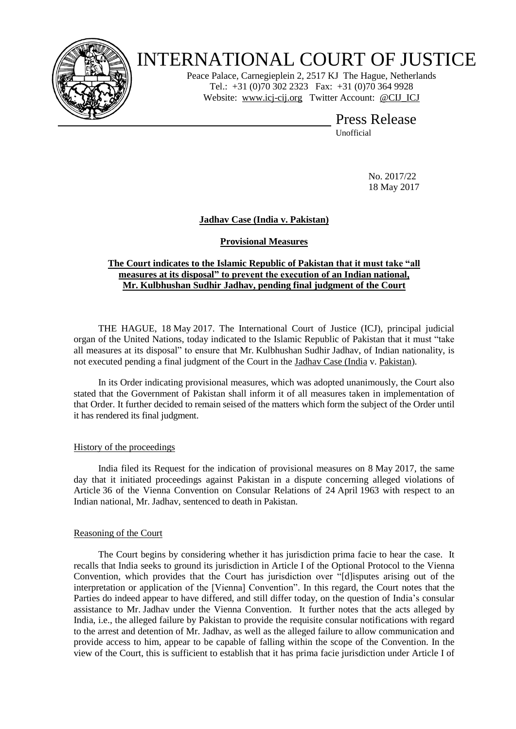

# INTERNATIONAL COURT OF JUSTICE

Peace Palace, Carnegieplein 2, 2517 KJ The Hague, Netherlands Tel.: +31 (0)70 302 2323 Fax: +31 (0)70 364 9928 Website: [www.icj-cij.org](http://www.icj-cij.org/) Twitter Account: [@CIJ\\_ICJ](https://twitter.com/cij_icj)

> Press Release Unofficial

> > No. 2017/22

18 May 2017

## **Jadhav Case (India v. Pakistan)**

### **Provisional Measures**

## **The Court indicates to the Islamic Republic of Pakistan that it must take "all measures at its disposal" to prevent the execution of an Indian national, Mr. Kulbhushan Sudhir Jadhav, pending final judgment of the Court**

THE HAGUE, 18 May 2017. The International Court of Justice (ICJ), principal judicial organ of the United Nations, today indicated to the Islamic Republic of Pakistan that it must "take all measures at its disposal" to ensure that Mr. Kulbhushan Sudhir Jadhav, of Indian nationality, is not executed pending a final judgment of the Court in the Jadhav Case (India v. Pakistan).

In its Order indicating provisional measures, which was adopted unanimously, the Court also stated that the Government of Pakistan shall inform it of all measures taken in implementation of that Order. It further decided to remain seised of the matters which form the subject of the Order until it has rendered its final judgment.

## History of the proceedings

India filed its Request for the indication of provisional measures on 8 May 2017, the same day that it initiated proceedings against Pakistan in a dispute concerning alleged violations of Article 36 of the Vienna Convention on Consular Relations of 24 April 1963 with respect to an Indian national, Mr. Jadhav, sentenced to death in Pakistan.

## Reasoning of the Court

The Court begins by considering whether it has jurisdiction prima facie to hear the case. It recalls that India seeks to ground its jurisdiction in Article I of the Optional Protocol to the Vienna Convention, which provides that the Court has jurisdiction over "[d]isputes arising out of the interpretation or application of the [Vienna] Convention". In this regard, the Court notes that the Parties do indeed appear to have differed, and still differ today, on the question of India's consular assistance to Mr. Jadhav under the Vienna Convention. It further notes that the acts alleged by India, i.e., the alleged failure by Pakistan to provide the requisite consular notifications with regard to the arrest and detention of Mr. Jadhav, as well as the alleged failure to allow communication and provide access to him, appear to be capable of falling within the scope of the Convention. In the view of the Court, this is sufficient to establish that it has prima facie jurisdiction under Article I of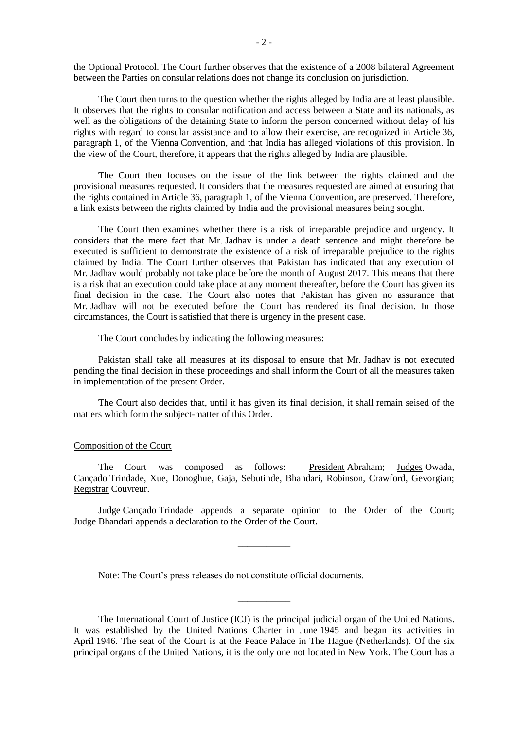the Optional Protocol. The Court further observes that the existence of a 2008 bilateral Agreement between the Parties on consular relations does not change its conclusion on jurisdiction.

The Court then turns to the question whether the rights alleged by India are at least plausible. It observes that the rights to consular notification and access between a State and its nationals, as well as the obligations of the detaining State to inform the person concerned without delay of his rights with regard to consular assistance and to allow their exercise, are recognized in Article 36, paragraph 1, of the Vienna Convention, and that India has alleged violations of this provision. In the view of the Court, therefore, it appears that the rights alleged by India are plausible.

The Court then focuses on the issue of the link between the rights claimed and the provisional measures requested. It considers that the measures requested are aimed at ensuring that the rights contained in Article 36, paragraph 1, of the Vienna Convention, are preserved. Therefore, a link exists between the rights claimed by India and the provisional measures being sought.

The Court then examines whether there is a risk of irreparable prejudice and urgency. It considers that the mere fact that Mr. Jadhav is under a death sentence and might therefore be executed is sufficient to demonstrate the existence of a risk of irreparable prejudice to the rights claimed by India. The Court further observes that Pakistan has indicated that any execution of Mr. Jadhav would probably not take place before the month of August 2017. This means that there is a risk that an execution could take place at any moment thereafter, before the Court has given its final decision in the case. The Court also notes that Pakistan has given no assurance that Mr. Jadhav will not be executed before the Court has rendered its final decision. In those circumstances, the Court is satisfied that there is urgency in the present case.

The Court concludes by indicating the following measures:

Pakistan shall take all measures at its disposal to ensure that Mr. Jadhav is not executed pending the final decision in these proceedings and shall inform the Court of all the measures taken in implementation of the present Order.

The Court also decides that, until it has given its final decision, it shall remain seised of the matters which form the subject-matter of this Order.

#### Composition of the Court

The Court was composed as follows: President Abraham; Judges Owada, Cançado Trindade, Xue, Donoghue, Gaja, Sebutinde, Bhandari, Robinson, Crawford, Gevorgian; Registrar Couvreur.

Judge Cançado Trindade appends a separate opinion to the Order of the Court; Judge Bhandari appends a declaration to the Order of the Court.

\_\_\_\_\_\_\_\_\_\_\_

Note: The Court's press releases do not constitute official documents.

The International Court of Justice (ICJ) is the principal judicial organ of the United Nations. It was established by the United Nations Charter in June 1945 and began its activities in April 1946. The seat of the Court is at the Peace Palace in The Hague (Netherlands). Of the six principal organs of the United Nations, it is the only one not located in New York. The Court has a

\_\_\_\_\_\_\_\_\_\_\_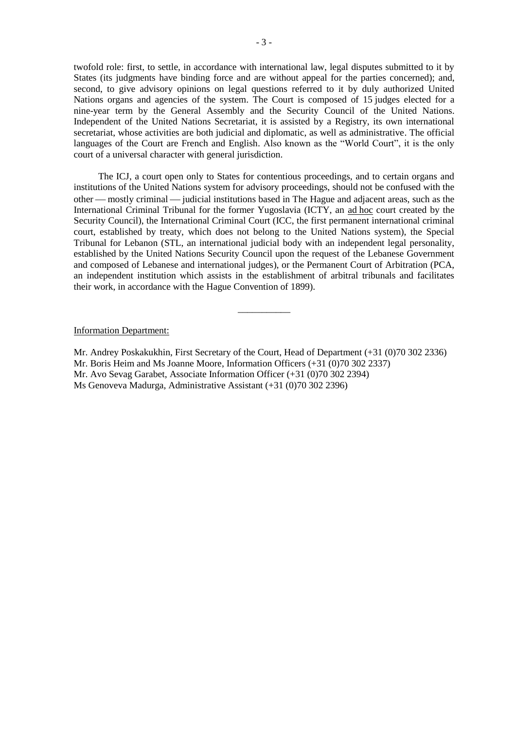twofold role: first, to settle, in accordance with international law, legal disputes submitted to it by States (its judgments have binding force and are without appeal for the parties concerned); and, second, to give advisory opinions on legal questions referred to it by duly authorized United Nations organs and agencies of the system. The Court is composed of 15 judges elected for a nine-year term by the General Assembly and the Security Council of the United Nations. Independent of the United Nations Secretariat, it is assisted by a Registry, its own international secretariat, whose activities are both judicial and diplomatic, as well as administrative. The official languages of the Court are French and English. Also known as the "World Court", it is the only court of a universal character with general jurisdiction.

The ICJ, a court open only to States for contentious proceedings, and to certain organs and institutions of the United Nations system for advisory proceedings, should not be confused with the other — mostly criminal — judicial institutions based in The Hague and adjacent areas, such as the International Criminal Tribunal for the former Yugoslavia (ICTY, an ad hoc court created by the Security Council), the International Criminal Court (ICC, the first permanent international criminal court, established by treaty, which does not belong to the United Nations system), the Special Tribunal for Lebanon (STL, an international judicial body with an independent legal personality, established by the United Nations Security Council upon the request of the Lebanese Government and composed of Lebanese and international judges), or the Permanent Court of Arbitration (PCA, an independent institution which assists in the establishment of arbitral tribunals and facilitates their work, in accordance with the Hague Convention of 1899).

#### Information Department:

Mr. Andrey Poskakukhin, First Secretary of the Court, Head of Department (+31 (0)70 302 2336) Mr. Boris Heim and Ms Joanne Moore, Information Officers (+31 (0)70 302 2337) Mr. Avo Sevag Garabet, Associate Information Officer (+31 (0)70 302 2394) Ms Genoveva Madurga, Administrative Assistant (+31 (0)70 302 2396)

 $\overline{\phantom{a}}$  , where  $\overline{\phantom{a}}$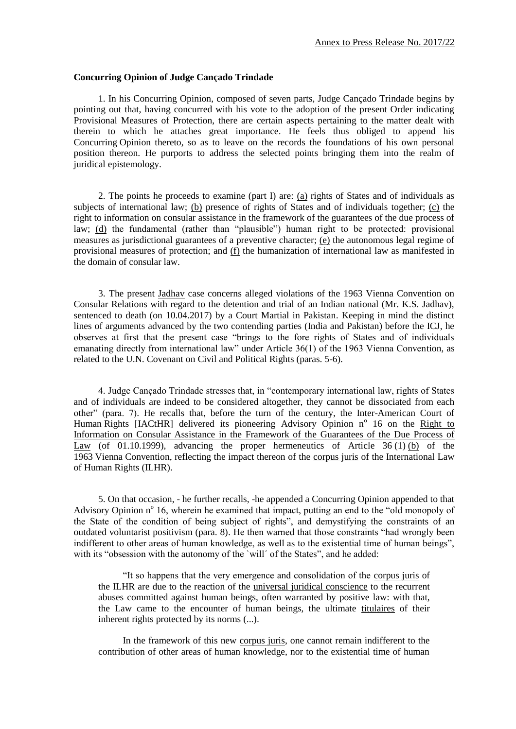#### **Concurring Opinion of Judge Cançado Trindade**

1. In his Concurring Opinion, composed of seven parts, Judge Cançado Trindade begins by pointing out that, having concurred with his vote to the adoption of the present Order indicating Provisional Measures of Protection, there are certain aspects pertaining to the matter dealt with therein to which he attaches great importance. He feels thus obliged to append his Concurring Opinion thereto, so as to leave on the records the foundations of his own personal position thereon. He purports to address the selected points bringing them into the realm of juridical epistemology.

2. The points he proceeds to examine (part I) are: (a) rights of States and of individuals as subjects of international law; (b) presence of rights of States and of individuals together; (c) the right to information on consular assistance in the framework of the guarantees of the due process of law; (d) the fundamental (rather than "plausible") human right to be protected: provisional measures as jurisdictional guarantees of a preventive character; (e) the autonomous legal regime of provisional measures of protection; and (f) the humanization of international law as manifested in the domain of consular law.

3. The present Jadhav case concerns alleged violations of the 1963 Vienna Convention on Consular Relations with regard to the detention and trial of an Indian national (Mr. K.S. Jadhav), sentenced to death (on 10.04.2017) by a Court Martial in Pakistan. Keeping in mind the distinct lines of arguments advanced by the two contending parties (India and Pakistan) before the ICJ, he observes at first that the present case "brings to the fore rights of States and of individuals emanating directly from international law" under Article 36(1) of the 1963 Vienna Convention, as related to the U.N. Covenant on Civil and Political Rights (paras. 5-6).

4. Judge Cançado Trindade stresses that, in "contemporary international law, rights of States and of individuals are indeed to be considered altogether, they cannot be dissociated from each other" (para. 7). He recalls that, before the turn of the century, the Inter-American Court of Human Rights [IACtHR] delivered its pioneering Advisory Opinion n<sup>o</sup> 16 on the Right to Information on Consular Assistance in the Framework of the Guarantees of the Due Process of Law (of 01.10.1999), advancing the proper hermeneutics of Article 36 (1) (b) of the 1963 Vienna Convention, reflecting the impact thereon of the corpus juris of the International Law of Human Rights (ILHR).

5. On that occasion, - he further recalls, -he appended a Concurring Opinion appended to that Advisory Opinion nº 16, wherein he examined that impact, putting an end to the "old monopoly of the State of the condition of being subject of rights", and demystifying the constraints of an outdated voluntarist positivism (para. 8). He then warned that those constraints "had wrongly been indifferent to other areas of human knowledge, as well as to the existential time of human beings", with its "obsession with the autonomy of the 'will' of the States", and he added:

"It so happens that the very emergence and consolidation of the corpus juris of the ILHR are due to the reaction of the universal juridical conscience to the recurrent abuses committed against human beings, often warranted by positive law: with that, the Law came to the encounter of human beings, the ultimate titulaires of their inherent rights protected by its norms (...).

In the framework of this new corpus juris, one cannot remain indifferent to the contribution of other areas of human knowledge, nor to the existential time of human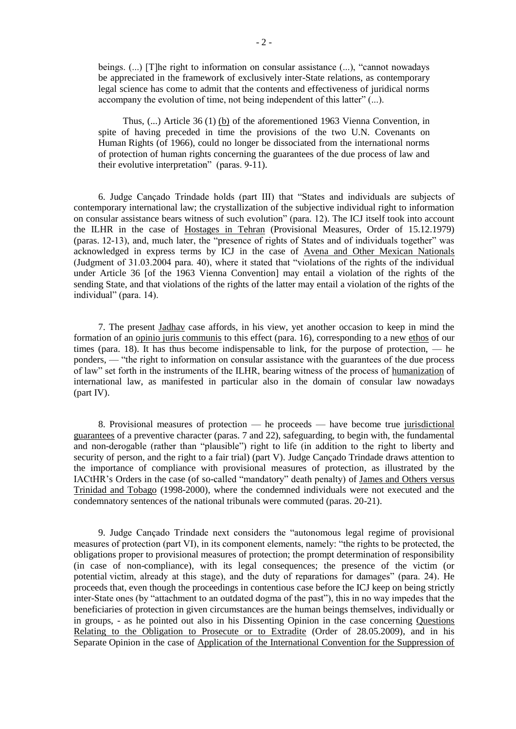beings. (...) [T]he right to information on consular assistance (...), "cannot nowadays be appreciated in the framework of exclusively inter-State relations, as contemporary legal science has come to admit that the contents and effectiveness of juridical norms accompany the evolution of time, not being independent of this latter" (...).

Thus, (...) Article 36 (1) (b) of the aforementioned 1963 Vienna Convention, in spite of having preceded in time the provisions of the two U.N. Covenants on Human Rights (of 1966), could no longer be dissociated from the international norms of protection of human rights concerning the guarantees of the due process of law and their evolutive interpretation" (paras. 9-11).

6. Judge Cançado Trindade holds (part III) that "States and individuals are subjects of contemporary international law; the crystallization of the subjective individual right to information on consular assistance bears witness of such evolution" (para. 12). The ICJ itself took into account the ILHR in the case of Hostages in Tehran (Provisional Measures, Order of 15.12.1979) (paras. 12-13), and, much later, the "presence of rights of States and of individuals together" was acknowledged in express terms by ICJ in the case of Avena and Other Mexican Nationals (Judgment of 31.03.2004 para. 40), where it stated that "violations of the rights of the individual under Article 36 [of the 1963 Vienna Convention] may entail a violation of the rights of the sending State, and that violations of the rights of the latter may entail a violation of the rights of the individual" (para. 14).

7. The present Jadhav case affords, in his view, yet another occasion to keep in mind the formation of an opinio juris communis to this effect (para. 16), corresponding to a new ethos of our times (para. 18). It has thus become indispensable to link, for the purpose of protection,  $-$  he ponders, — "the right to information on consular assistance with the guarantees of the due process of law" set forth in the instruments of the ILHR, bearing witness of the process of humanization of international law, as manifested in particular also in the domain of consular law nowadays (part IV).

8. Provisional measures of protection — he proceeds — have become true jurisdictional guarantees of a preventive character (paras. 7 and 22), safeguarding, to begin with, the fundamental and non-derogable (rather than "plausible") right to life (in addition to the right to liberty and security of person, and the right to a fair trial) (part V). Judge Cançado Trindade draws attention to the importance of compliance with provisional measures of protection, as illustrated by the IACtHR's Orders in the case (of so-called "mandatory" death penalty) of James and Others versus Trinidad and Tobago (1998-2000), where the condemned individuals were not executed and the condemnatory sentences of the national tribunals were commuted (paras. 20-21).

9. Judge Cançado Trindade next considers the "autonomous legal regime of provisional measures of protection (part VI), in its component elements, namely: "the rights to be protected, the obligations proper to provisional measures of protection; the prompt determination of responsibility (in case of non-compliance), with its legal consequences; the presence of the victim (or potential victim, already at this stage), and the duty of reparations for damages" (para. 24). He proceeds that, even though the proceedings in contentious case before the ICJ keep on being strictly inter-State ones (by "attachment to an outdated dogma of the past"), this in no way impedes that the beneficiaries of protection in given circumstances are the human beings themselves, individually or in groups, - as he pointed out also in his Dissenting Opinion in the case concerning Questions Relating to the Obligation to Prosecute or to Extradite (Order of 28.05.2009), and in his Separate Opinion in the case of Application of the International Convention for the Suppression of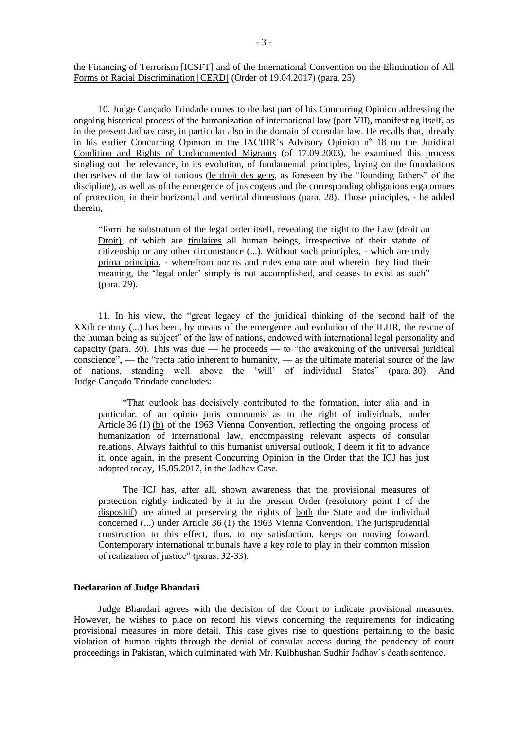the Financing of Terrorism [ICSFT] and of the International Convention on the Elimination of All Forms of Racial Discrimination [CERD] (Order of 19.04.2017) (para. 25).

10. Judge Cançado Trindade comes to the last part of his Concurring Opinion addressing the ongoing historical process of the humanization of international law (part VII), manifesting itself, as in the present Jadhav case, in particular also in the domain of consular law. He recalls that, already in his earlier Concurring Opinion in the IACtHR's Advisory Opinion nº 18 on the Juridical Condition and Rights of Undocumented Migrants (of 17.09.2003), he examined this process singling out the relevance, in its evolution, of fundamental principles, laying on the foundations themselves of the law of nations (le droit des gens, as foreseen by the "founding fathers" of the discipline), as well as of the emergence of jus cogens and the corresponding obligations erga omnes of protection, in their horizontal and vertical dimensions (para. 28). Those principles, - he added therein,

"form the substratum of the legal order itself, revealing the right to the Law (droit au Droit), of which are titulaires all human beings, irrespective of their statute of citizenship or any other circumstance (...). Without such principles, - which are truly prima principia, - wherefrom norms and rules emanate and wherein they find their meaning, the 'legal order' simply is not accomplished, and ceases to exist as such" (para. 29).

11. In his view, the "great legacy of the juridical thinking of the second half of the XXth century (...) has been, by means of the emergence and evolution of the ILHR, the rescue of the human being as subject" of the law of nations, endowed with international legal personality and capacity (para. 30). This was due — he proceeds — to "the awakening of the universal juridical conscience", — the "<u>recta ratio</u> inherent to humanity, — as the ultimate <u>material source</u> of the law of nations, standing well above the 'will' of individual States" (para. 30). And Judge Cançado Trindade concludes:

"That outlook has decisively contributed to the formation, inter alia and in particular, of an opinio juris communis as to the right of individuals, under Article 36 (1) (b) of the 1963 Vienna Convention, reflecting the ongoing process of humanization of international law, encompassing relevant aspects of consular relations. Always faithful to this humanist universal outlook, I deem it fit to advance it, once again, in the present Concurring Opinion in the Order that the ICJ has just adopted today, 15.05.2017, in the Jadhav Case.

The ICJ has, after all, shown awareness that the provisional measures of protection rightly indicated by it in the present Order (resolutory point I of the dispositif) are aimed at preserving the rights of both the State and the individual concerned (...) under Article 36 (1) the 1963 Vienna Convention. The jurisprudential construction to this effect, thus, to my satisfaction, keeps on moving forward. Contemporary international tribunals have a key role to play in their common mission of realization of justice" (paras. 32-33).

#### **Declaration of Judge Bhandari**

Judge Bhandari agrees with the decision of the Court to indicate provisional measures. However, he wishes to place on record his views concerning the requirements for indicating provisional measures in more detail. This case gives rise to questions pertaining to the basic violation of human rights through the denial of consular access during the pendency of court proceedings in Pakistan, which culminated with Mr. Kulbhushan Sudhir Jadhav's death sentence.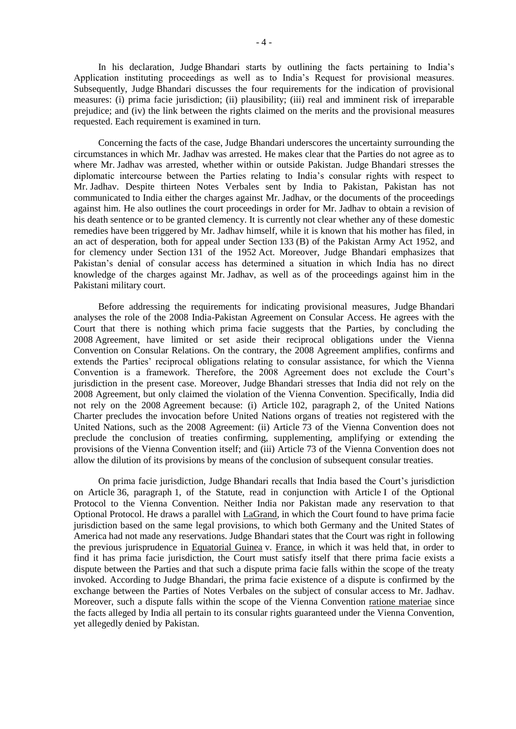In his declaration, Judge Bhandari starts by outlining the facts pertaining to India's Application instituting proceedings as well as to India's Request for provisional measures. Subsequently, Judge Bhandari discusses the four requirements for the indication of provisional measures: (i) prima facie jurisdiction; (ii) plausibility; (iii) real and imminent risk of irreparable prejudice; and (iv) the link between the rights claimed on the merits and the provisional measures requested. Each requirement is examined in turn.

Concerning the facts of the case, Judge Bhandari underscores the uncertainty surrounding the circumstances in which Mr. Jadhav was arrested. He makes clear that the Parties do not agree as to where Mr. Jadhav was arrested, whether within or outside Pakistan. Judge Bhandari stresses the diplomatic intercourse between the Parties relating to India's consular rights with respect to Mr. Jadhav. Despite thirteen Notes Verbales sent by India to Pakistan, Pakistan has not communicated to India either the charges against Mr. Jadhav, or the documents of the proceedings against him. He also outlines the court proceedings in order for Mr. Jadhav to obtain a revision of his death sentence or to be granted clemency. It is currently not clear whether any of these domestic remedies have been triggered by Mr. Jadhav himself, while it is known that his mother has filed, in an act of desperation, both for appeal under Section 133 (B) of the Pakistan Army Act 1952, and for clemency under Section 131 of the 1952 Act. Moreover, Judge Bhandari emphasizes that Pakistan's denial of consular access has determined a situation in which India has no direct knowledge of the charges against Mr. Jadhav, as well as of the proceedings against him in the Pakistani military court.

Before addressing the requirements for indicating provisional measures, Judge Bhandari analyses the role of the 2008 India-Pakistan Agreement on Consular Access. He agrees with the Court that there is nothing which prima facie suggests that the Parties, by concluding the 2008 Agreement, have limited or set aside their reciprocal obligations under the Vienna Convention on Consular Relations. On the contrary, the 2008 Agreement amplifies, confirms and extends the Parties' reciprocal obligations relating to consular assistance, for which the Vienna Convention is a framework. Therefore, the 2008 Agreement does not exclude the Court's jurisdiction in the present case. Moreover, Judge Bhandari stresses that India did not rely on the 2008 Agreement, but only claimed the violation of the Vienna Convention. Specifically, India did not rely on the 2008 Agreement because: (i) Article 102, paragraph 2, of the United Nations Charter precludes the invocation before United Nations organs of treaties not registered with the United Nations, such as the 2008 Agreement: (ii) Article 73 of the Vienna Convention does not preclude the conclusion of treaties confirming, supplementing, amplifying or extending the provisions of the Vienna Convention itself; and (iii) Article 73 of the Vienna Convention does not allow the dilution of its provisions by means of the conclusion of subsequent consular treaties.

On prima facie jurisdiction, Judge Bhandari recalls that India based the Court's jurisdiction on Article 36, paragraph 1, of the Statute, read in conjunction with Article I of the Optional Protocol to the Vienna Convention. Neither India nor Pakistan made any reservation to that Optional Protocol. He draws a parallel with LaGrand, in which the Court found to have prima facie jurisdiction based on the same legal provisions, to which both Germany and the United States of America had not made any reservations. Judge Bhandari states that the Court was right in following the previous jurisprudence in Equatorial Guinea v. France, in which it was held that, in order to find it has prima facie jurisdiction, the Court must satisfy itself that there prima facie exists a dispute between the Parties and that such a dispute prima facie falls within the scope of the treaty invoked. According to Judge Bhandari, the prima facie existence of a dispute is confirmed by the exchange between the Parties of Notes Verbales on the subject of consular access to Mr. Jadhav. Moreover, such a dispute falls within the scope of the Vienna Convention ratione materiae since the facts alleged by India all pertain to its consular rights guaranteed under the Vienna Convention, yet allegedly denied by Pakistan.